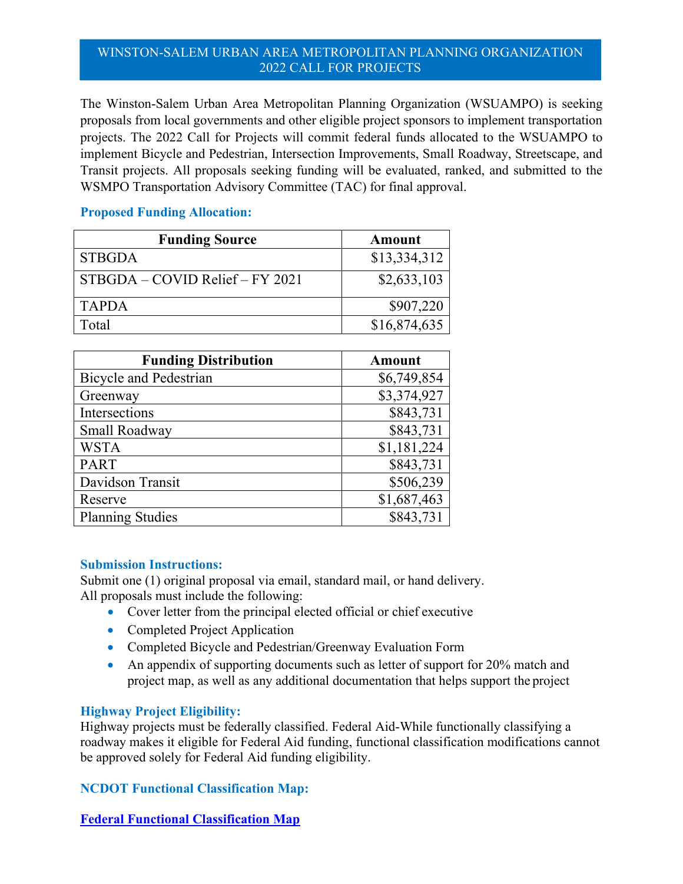## WINSTON-SALEM URBAN AREA METROPOLITAN PLANNING ORGANIZATION 2022 CALL FOR PROJECTS

The Winston-Salem Urban Area Metropolitan Planning Organization (WSUAMPO) is seeking proposals from local governments and other eligible project sponsors to implement transportation projects. The 2022 Call for Projects will commit federal funds allocated to the WSUAMPO to implement Bicycle and Pedestrian, Intersection Improvements, Small Roadway, Streetscape, and Transit projects. All proposals seeking funding will be evaluated, ranked, and submitted to the WSMPO Transportation Advisory Committee (TAC) for final approval.

# **Proposed Funding Allocation:**

| <b>Funding Source</b>             | Amount       |
|-----------------------------------|--------------|
| <b>STBGDA</b>                     | \$13,334,312 |
| $STBGDA - COVID$ Relief – FY 2021 | \$2,633,103  |
| <b>TAPDA</b>                      | \$907,220    |
| Total                             | \$16,874,635 |

| <b>Funding Distribution</b>   | <b>Amount</b> |
|-------------------------------|---------------|
| <b>Bicycle and Pedestrian</b> | \$6,749,854   |
| Greenway                      | \$3,374,927   |
| Intersections                 | \$843,731     |
| Small Roadway                 | \$843,731     |
| <b>WSTA</b>                   | \$1,181,224   |
| <b>PART</b>                   | \$843,731     |
| Davidson Transit              | \$506,239     |
| Reserve                       | \$1,687,463   |
| <b>Planning Studies</b>       | \$843,731     |

### **Submission Instructions:**

Submit one (1) original proposal via email, standard mail, or hand delivery. All proposals must include the following:

- Cover letter from the principal elected official or chief executive
- Completed Project Application
- Completed Bicycle and Pedestrian/Greenway Evaluation Form
- An appendix of supporting documents such as letter of support for 20% match and project map, as well as any additional documentation that helps support the project

## **Highway Project Eligibility:**

Highway projects must be federally classified. Federal Aid-While functionally classifying a roadway makes it eligible for Federal Aid funding, functional classification modifications cannot be approved solely for Federal Aid funding eligibility.

# **NCDOT Functional Classification Map:**

## **[Federal Functional Classification Map](https://ncdot.maps.arcgis.com/apps/mapviewer/index.html?webmap=c91dd1eff61a4456abad89fe0383114d)**